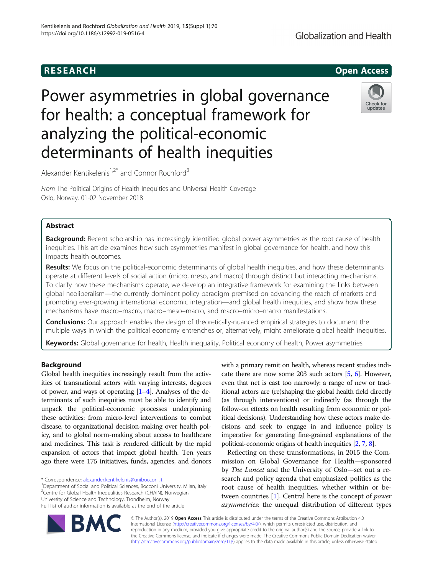# Power asymmetries in global governance for health: a conceptual framework for analyzing the political-economic determinants of health inequities



Alexander Kentikelenis<sup>1,2\*</sup> and Connor Rochford<sup>3</sup>

From The Political Origins of Health Inequities and Universal Health Coverage Oslo, Norway. 01-02 November 2018

## Abstract

**Background:** Recent scholarship has increasingly identified global power asymmetries as the root cause of health inequities. This article examines how such asymmetries manifest in global governance for health, and how this impacts health outcomes.

Results: We focus on the political-economic determinants of global health inequities, and how these determinants operate at different levels of social action (micro, meso, and macro) through distinct but interacting mechanisms. To clarify how these mechanisms operate, we develop an integrative framework for examining the links between global neoliberalism—the currently dominant policy paradigm premised on advancing the reach of markets and promoting ever-growing international economic integration—and global health inequities, and show how these mechanisms have macro–macro, macro–meso–macro, and macro–micro–macro manifestations.

**Conclusions:** Our approach enables the design of theoretically-nuanced empirical strategies to document the multiple ways in which the political economy entrenches or, alternatively, might ameliorate global health inequities.

Keywords: Global governance for health, Health inequality, Political economy of health, Power asymmetries

## Background

Global health inequities increasingly result from the activities of transnational actors with varying interests, degrees of power, and ways of operating  $[1-4]$  $[1-4]$  $[1-4]$  $[1-4]$ . Analyses of the determinants of such inequities must be able to identify and unpack the political-economic processes underpinning these activities: from micro-level interventions to combat disease, to organizational decision-making over health policy, and to global norm-making about access to healthcare and medicines. This task is rendered difficult by the rapid expansion of actors that impact global health. Ten years ago there were 175 initiatives, funds, agencies, and donors

\* Correspondence: [alexander.kentikelenis@unibocconi.it](mailto:alexander.kentikelenis@unibocconi.it) <sup>1</sup>

<sup>1</sup>Department of Social and Political Sciences, Bocconi University, Milan, Italy <sup>2</sup>Centre for Global Health Inequalities Research (CHAIN), Norwegian University of Science and Technology, Trondheim, Norway Full list of author information is available at the end of the article

with a primary remit on health, whereas recent studies indicate there are now some 203 such actors [[5](#page-7-0), [6\]](#page-7-0). However, even that net is cast too narrowly: a range of new or traditional actors are (re)shaping the global health field directly (as through interventions) or indirectly (as through the follow-on effects on health resulting from economic or political decisions). Understanding how these actors make decisions and seek to engage in and influence policy is imperative for generating fine-grained explanations of the political-economic origins of health inequities [[2](#page-7-0), [7,](#page-7-0) [8](#page-7-0)].

Reflecting on these transformations, in 2015 the Commission on Global Governance for Health—sponsored by The Lancet and the University of Oslo—set out a research and policy agenda that emphasized politics as the root cause of health inequities, whether within or between countries [[1\]](#page-7-0). Central here is the concept of power asymmetries: the unequal distribution of different types



© The Author(s). 2019 **Open Access** This article is distributed under the terms of the Creative Commons Attribution 4.0 International License [\(http://creativecommons.org/licenses/by/4.0/](http://creativecommons.org/licenses/by/4.0/)), which permits unrestricted use, distribution, and reproduction in any medium, provided you give appropriate credit to the original author(s) and the source, provide a link to the Creative Commons license, and indicate if changes were made. The Creative Commons Public Domain Dedication waiver [\(http://creativecommons.org/publicdomain/zero/1.0/](http://creativecommons.org/publicdomain/zero/1.0/)) applies to the data made available in this article, unless otherwise stated.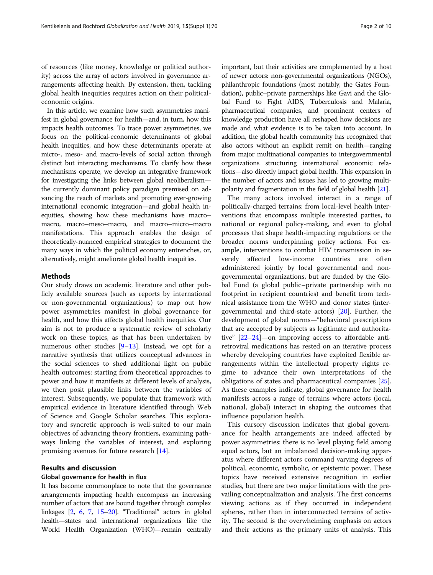of resources (like money, knowledge or political authority) across the array of actors involved in governance arrangements affecting health. By extension, then, tackling global health inequities requires action on their politicaleconomic origins.

In this article, we examine how such asymmetries manifest in global governance for health—and, in turn, how this impacts health outcomes. To trace power asymmetries, we focus on the political-economic determinants of global health inequities, and how these determinants operate at micro-, meso- and macro-levels of social action through distinct but interacting mechanisms. To clarify how these mechanisms operate, we develop an integrative framework for investigating the links between global neoliberalism the currently dominant policy paradigm premised on advancing the reach of markets and promoting ever-growing international economic integration—and global health inequities, showing how these mechanisms have macro– macro, macro–meso–macro, and macro–micro–macro manifestations. This approach enables the design of theoretically-nuanced empirical strategies to document the many ways in which the political economy entrenches, or, alternatively, might ameliorate global health inequities.

#### Methods

Our study draws on academic literature and other publicly available sources (such as reports by international or non-governmental organizations) to map out how power asymmetries manifest in global governance for health, and how this affects global health inequities. Our aim is not to produce a systematic review of scholarly work on these topics, as that has been undertaken by numerous other studies  $[9-13]$  $[9-13]$  $[9-13]$  $[9-13]$ . Instead, we opt for a narrative synthesis that utilizes conceptual advances in the social sciences to shed additional light on public health outcomes: starting from theoretical approaches to power and how it manifests at different levels of analysis, we then posit plausible links between the variables of interest. Subsequently, we populate that framework with empirical evidence in literature identified through Web of Science and Google Scholar searches. This exploratory and syncretic approach is well-suited to our main objectives of advancing theory frontiers, examining pathways linking the variables of interest, and exploring promising avenues for future research [\[14](#page-7-0)].

## Results and discussion

## Global governance for health in flux

It has become commonplace to note that the governance arrangements impacting health encompass an increasing number of actors that are bound together through complex linkages [[2](#page-7-0), [6,](#page-7-0) [7,](#page-7-0) [15](#page-7-0)–[20](#page-7-0)]. "Traditional" actors in global health—states and international organizations like the World Health Organization (WHO)—remain centrally important, but their activities are complemented by a host of newer actors: non-governmental organizations (NGOs), philanthropic foundations (most notably, the Gates Foundation), public–private partnerships like Gavi and the Global Fund to Fight AIDS, Tuberculosis and Malaria, pharmaceutical companies, and prominent centers of knowledge production have all reshaped how decisions are made and what evidence is to be taken into account. In addition, the global health community has recognized that also actors without an explicit remit on health—ranging from major multinational companies to intergovernmental organizations structuring international economic relations—also directly impact global health. This expansion in the number of actors and issues has led to growing multipolarity and fragmentation in the field of global health [\[21](#page-7-0)].

The many actors involved interact in a range of politically-charged terrains: from local-level health interventions that encompass multiple interested parties, to national or regional policy-making, and even to global processes that shape health-impacting regulations or the broader norms underpinning policy actions. For example, interventions to combat HIV transmission in severely affected low-income countries are often administered jointly by local governmental and nongovernmental organizations, but are funded by the Global Fund (a global public–private partnership with no footprint in recipient countries) and benefit from technical assistance from the WHO and donor states (intergovernmental and third-state actors) [\[20\]](#page-7-0). Further, the development of global norms—"behavioral prescriptions that are accepted by subjects as legitimate and authoritative" [[22](#page-7-0)–[24\]](#page-7-0)—on improving access to affordable antiretroviral medications has rested on an iterative process whereby developing countries have exploited flexible arrangements within the intellectual property rights regime to advance their own interpretations of the obligations of states and pharmaceutical companies [\[25](#page-7-0)]. As these examples indicate, global governance for health manifests across a range of terrains where actors (local, national, global) interact in shaping the outcomes that influence population health.

This cursory discussion indicates that global governance for health arrangements are indeed affected by power asymmetries: there is no level playing field among equal actors, but an imbalanced decision-making apparatus where different actors command varying degrees of political, economic, symbolic, or epistemic power. These topics have received extensive recognition in earlier studies, but there are two major limitations with the prevailing conceptualization and analysis. The first concerns viewing actions as if they occurred in independent spheres, rather than in interconnected terrains of activity. The second is the overwhelming emphasis on actors and their actions as the primary units of analysis. This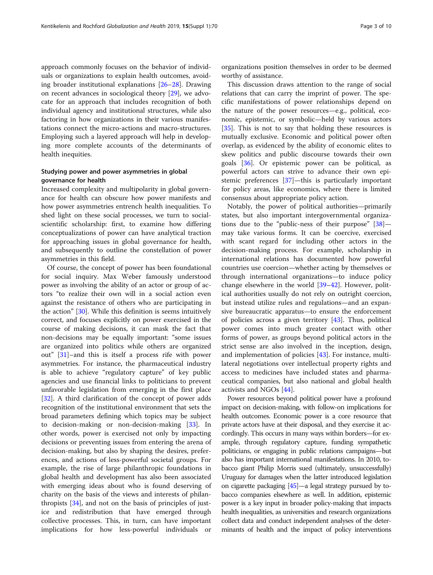approach commonly focuses on the behavior of individuals or organizations to explain health outcomes, avoiding broader institutional explanations [[26](#page-7-0)–[28](#page-7-0)]. Drawing on recent advances in sociological theory [\[29](#page-7-0)], we advocate for an approach that includes recognition of both individual agency and institutional structures, while also factoring in how organizations in their various manifestations connect the micro-actions and macro-structures. Employing such a layered approach will help in developing more complete accounts of the determinants of health inequities.

## Studying power and power asymmetries in global governance for health

Increased complexity and multipolarity in global governance for health can obscure how power manifests and how power asymmetries entrench health inequalities. To shed light on these social processes, we turn to socialscientific scholarship: first, to examine how differing conceptualizations of power can have analytical traction for approaching issues in global governance for health, and subsequently to outline the constellation of power asymmetries in this field.

Of course, the concept of power has been foundational for social inquiry. Max Weber famously understood power as involving the ability of an actor or group of actors "to realize their own will in a social action even against the resistance of others who are participating in the action" [\[30](#page-7-0)]. While this definition is seems intuitively correct, and focuses explicitly on power exercised in the course of making decisions, it can mask the fact that non-decisions may be equally important: "some issues are organized into politics while others are organized out" [\[31](#page-7-0)]–and this is itself a process rife with power asymmetries. For instance, the pharmaceutical industry is able to achieve "regulatory capture" of key public agencies and use financial links to politicians to prevent unfavorable legislation from emerging in the first place [[32\]](#page-7-0). A third clarification of the concept of power adds recognition of the institutional environment that sets the broad parameters defining which topics may be subject to decision-making or non-decision-making [[33](#page-7-0)]. In other words, power is exercised not only by impacting decisions or preventing issues from entering the arena of decision-making, but also by shaping the desires, preferences, and actions of less-powerful societal groups. For example, the rise of large philanthropic foundations in global health and development has also been associated with emerging ideas about who is found deserving of charity on the basis of the views and interests of philanthropists [\[34\]](#page-7-0), and not on the basis of principles of justice and redistribution that have emerged through collective processes. This, in turn, can have important implications for how less-powerful individuals or

organizations position themselves in order to be deemed worthy of assistance.

This discussion draws attention to the range of social relations that can carry the imprint of power. The specific manifestations of power relationships depend on the nature of the power resources—e.g., political, economic, epistemic, or symbolic—held by various actors [[35\]](#page-8-0). This is not to say that holding these resources is mutually exclusive. Economic and political power often overlap, as evidenced by the ability of economic elites to skew politics and public discourse towards their own goals [\[36\]](#page-8-0). Or epistemic power can be political, as powerful actors can strive to advance their own epistemic preferences [[37\]](#page-8-0)—this is particularly important for policy areas, like economics, where there is limited consensus about appropriate policy action.

Notably, the power of political authorities—primarily states, but also important intergovernmental organizations due to the "public-ness of their purpose" [[38](#page-8-0)] may take various forms. It can be coercive, exercised with scant regard for including other actors in the decision-making process. For example, scholarship in international relations has documented how powerful countries use coercion—whether acting by themselves or through international organizations—to induce policy change elsewhere in the world [\[39](#page-8-0)–[42\]](#page-8-0). However, political authorities usually do not rely on outright coercion, but instead utilize rules and regulations—and an expansive bureaucratic apparatus—to ensure the enforcement of policies across a given territory [[43\]](#page-8-0). Thus, political power comes into much greater contact with other forms of power, as groups beyond political actors in the strict sense are also involved in the inception, design, and implementation of policies [[43\]](#page-8-0). For instance, multilateral negotiations over intellectual property rights and access to medicines have included states and pharmaceutical companies, but also national and global health activists and NGOs [\[44](#page-8-0)].

Power resources beyond political power have a profound impact on decision-making, with follow-on implications for health outcomes. Economic power is a core resource that private actors have at their disposal, and they exercise it accordingly. This occurs in many ways within borders—for example, through regulatory capture, funding sympathetic politicians, or engaging in public relations campaigns—but also has important international manifestations. In 2010, tobacco giant Philip Morris sued (ultimately, unsuccessfully) Uruguay for damages when the latter introduced legislation on cigarette packaging [[45\]](#page-8-0)—a legal strategy pursued by tobacco companies elsewhere as well. In addition, epistemic power is a key input in broader policy-making that impacts health inequalities, as universities and research organizations collect data and conduct independent analyses of the determinants of health and the impact of policy interventions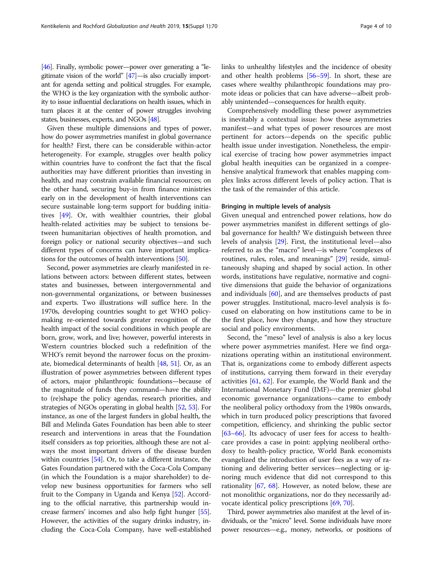[[46\]](#page-8-0). Finally, symbolic power—power over generating a "legitimate vision of the world" [\[47](#page-8-0)]—is also crucially important for agenda setting and political struggles. For example, the WHO is the key organization with the symbolic authority to issue influential declarations on health issues, which in turn places it at the center of power struggles involving states, businesses, experts, and NGOs [\[48](#page-8-0)].

Given these multiple dimensions and types of power, how do power asymmetries manifest in global governance for health? First, there can be considerable within-actor heterogeneity. For example, struggles over health policy within countries have to confront the fact that the fiscal authorities may have different priorities than investing in health, and may constrain available financial resources; on the other hand, securing buy-in from finance ministries early on in the development of health interventions can secure sustainable long-term support for budding initiatives [[49](#page-8-0)]. Or, with wealthier countries, their global health-related activities may be subject to tensions between humanitarian objectives of health promotion, and foreign policy or national security objectives—and such different types of concerns can have important implications for the outcomes of health interventions [\[50](#page-8-0)].

Second, power asymmetries are clearly manifested in relations between actors: between different states, between states and businesses, between intergovernmental and non-governmental organizations, or between businesses and experts. Two illustrations will suffice here. In the 1970s, developing countries sought to get WHO policymaking re-oriented towards greater recognition of the health impact of the social conditions in which people are born, grow, work, and live; however, powerful interests in Western countries blocked such a redefinition of the WHO's remit beyond the narrower focus on the proximate, biomedical determinants of health [\[48](#page-8-0), [51](#page-8-0)]. Or, as an illustration of power asymmetries between different types of actors, major philanthropic foundations—because of the magnitude of funds they command—have the ability to (re)shape the policy agendas, research priorities, and strategies of NGOs operating in global health [[52](#page-8-0), [53\]](#page-8-0). For instance, as one of the largest funders in global health, the Bill and Melinda Gates Foundation has been able to steer research and interventions in areas that the Foundation itself considers as top priorities, although these are not always the most important drivers of the disease burden within countries [[54](#page-8-0)]. Or, to take a different instance, the Gates Foundation partnered with the Coca-Cola Company (in which the Foundation is a major shareholder) to develop new business opportunities for farmers who sell fruit to the Company in Uganda and Kenya [[52](#page-8-0)]. According to the official narrative, this partnership would increase farmers' incomes and also help fight hunger [[55](#page-8-0)]. However, the activities of the sugary drinks industry, including the Coca-Cola Company, have well-established links to unhealthy lifestyles and the incidence of obesity and other health problems [\[56](#page-8-0)–[59](#page-8-0)]. In short, these are cases where wealthy philanthropic foundations may promote ideas or policies that can have adverse—albeit probably unintended—consequences for health equity.

Comprehensively modelling these power asymmetries is inevitably a contextual issue: how these asymmetries manifest—and what types of power resources are most pertinent for actors—depends on the specific public health issue under investigation. Nonetheless, the empirical exercise of tracing how power asymmetries impact global health inequities can be organized in a comprehensive analytical framework that enables mapping complex links across different levels of policy action. That is the task of the remainder of this article.

#### Bringing in multiple levels of analysis

Given unequal and entrenched power relations, how do power asymmetries manifest in different settings of global governance for health? We distinguish between three levels of analysis [\[29](#page-7-0)]. First, the institutional level—also referred to as the "macro" level—is where "complexes of routines, rules, roles, and meanings" [\[29\]](#page-7-0) reside, simultaneously shaping and shaped by social action. In other words, institutions have regulative, normative and cognitive dimensions that guide the behavior of organizations and individuals [[60\]](#page-8-0), and are themselves products of past power struggles. Institutional, macro-level analysis is focused on elaborating on how institutions came to be in the first place, how they change, and how they structure social and policy environments.

Second, the "meso" level of analysis is also a key locus where power asymmetries manifest. Here we find organizations operating within an institutional environment. That is, organizations come to embody different aspects of institutions, carrying them forward in their everyday activities [[61,](#page-8-0) [62\]](#page-8-0). For example, the World Bank and the International Monetary Fund (IMF)—the premier global economic governance organizations—came to embody the neoliberal policy orthodoxy from the 1980s onwards, which in turn produced policy prescriptions that favored competition, efficiency, and shrinking the public sector [[63](#page-8-0)–[66](#page-8-0)]. Its advocacy of user fees for access to healthcare provides a case in point: applying neoliberal orthodoxy to health-policy practice, World Bank economists evangelized the introduction of user fees as a way of rationing and delivering better services—neglecting or ignoring much evidence that did not correspond to this rationality  $[67, 68]$  $[67, 68]$  $[67, 68]$  $[67, 68]$ . However, as noted below, these are not monolithic organizations, nor do they necessarily advocate identical policy prescriptions [[69](#page-8-0), [70](#page-8-0)].

Third, power asymmetries also manifest at the level of individuals, or the "micro" level. Some individuals have more power resources—e.g., money, networks, or positions of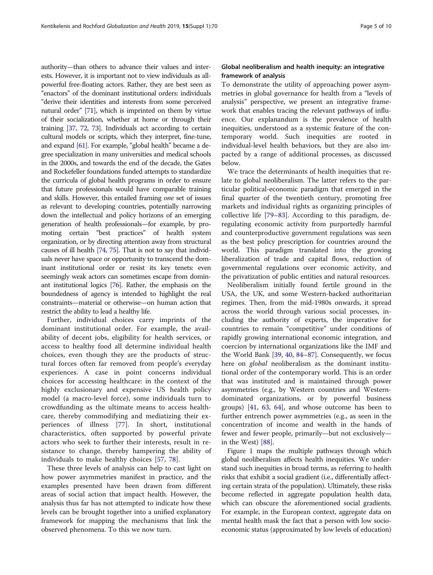authority—than others to advance their values and interests. However, it is important not to view individuals as allpowerful free-floating actors. Rather, they are best seen as "enactors" of the dominant institutional orders: individuals "derive their identities and interests from some perceived natural order" [\[71\]](#page-8-0), which is imprinted on them by virtue of their socialization, whether at home or through their training [[37](#page-8-0), [72,](#page-8-0) [73\]](#page-8-0). Individuals act according to certain cultural models or scripts, which they interpret, fine-tune, and expand [\[61](#page-8-0)]. For example, "global health" became a degree specialization in many universities and medical schools in the 2000s, and towards the end of the decade, the Gates and Rockefeller foundations funded attempts to standardize the curricula of global health programs in order to ensure that future professionals would have comparable training and skills. However, this entailed framing one set of issues as relevant to developing countries, potentially narrowing down the intellectual and policy horizons of an emerging generation of health professionals—for example, by promoting certain "best practices" of health system organization, or by directing attention away from structural causes of ill health [\[74](#page-8-0), [75](#page-8-0)]. That is not to say that individuals never have space or opportunity to transcend the dominant institutional order or resist its key tenets: even seemingly weak actors can sometimes escape from dominant institutional logics [\[76\]](#page-8-0). Rather, the emphasis on the boundedness of agency is intended to highlight the real constraints—material or otherwise—on human action that restrict the ability to lead a healthy life.

Further, individual choices carry imprints of the dominant institutional order. For example, the availability of decent jobs, eligibility for health services, or access to healthy food all determine individual health choices, even though they are the products of structural forces often far removed from people's everyday experiences. A case in point concerns individual choices for accessing healthcare: in the context of the highly exclusionary and expensive US health policy model (a macro-level force), some individuals turn to crowdfunding as the ultimate means to access healthcare, thereby commodifying and mediatizing their experiences of illness [\[77\]](#page-8-0). In short, institutional characteristics, often supported by powerful private actors who seek to further their interests, result in resistance to change, thereby hampering the ability of individuals to make healthy choices [[57](#page-8-0), [78](#page-8-0)].

These three levels of analysis can help to cast light on how power asymmetries manifest in practice, and the examples presented have been drawn from different areas of social action that impact health. However, the analysis thus far has not attempted to indicate how these levels can be brought together into a unified explanatory framework for mapping the mechanisms that link the observed phenomena. To this we now turn.

## Global neoliberalism and health inequity: an integrative framework of analysis

To demonstrate the utility of approaching power asymmetries in global governance for health from a "levels of analysis" perspective, we present an integrative framework that enables tracing the relevant pathways of influence. Our explanandum is the prevalence of health inequities, understood as a systemic feature of the contemporary world. Such inequities are rooted in individual-level health behaviors, but they are also impacted by a range of additional processes, as discussed below.

We trace the determinants of health inequities that relate to global neoliberalism. The latter refers to the particular political-economic paradigm that emerged in the final quarter of the twentieth century, promoting free markets and individual rights as organizing principles of collective life [[79](#page-8-0)–[83](#page-8-0)]. According to this paradigm, deregulating economic activity from purportedly harmful and counterproductive government regulations was seen as the best policy prescription for countries around the world. This paradigm translated into the growing liberalization of trade and capital flows, reduction of governmental regulations over economic activity, and the privatization of public entities and natural resources.

Neoliberalism initially found fertile ground in the USA, the UK, and some Western-backed authoritarian regimes. Then, from the mid-1980s onwards, it spread across the world through various social processes, including the authority of experts, the imperative for countries to remain "competitive" under conditions of rapidly growing international economic integration, and coercion by international organizations like the IMF and the World Bank [\[39](#page-8-0), [40](#page-8-0), [84](#page-8-0)–[87](#page-8-0)]. Consequently, we focus here on *global* neoliberalism as the dominant institutional order of the contemporary world. This is an order that was instituted and is maintained through power asymmetries (e.g., by Western countries and Westerndominated organizations, or by powerful business groups)  $[41, 63, 64]$  $[41, 63, 64]$  $[41, 63, 64]$  $[41, 63, 64]$  $[41, 63, 64]$  $[41, 63, 64]$  $[41, 63, 64]$ , and whose outcome has been to further entrench power asymmetries (e.g., as seen in the concentration of income and wealth in the hands of fewer and fewer people, primarily—but not exclusively in the West) [\[88\]](#page-8-0).

Figure [1](#page-5-0) maps the multiple pathways through which global neoliberalism affects health inequities. We understand such inequities in broad terms, as referring to health risks that exhibit a social gradient (i.e., differentially affecting certain strata of the population). Ultimately, these risks become reflected in aggregate population health data, which can obscure the aforementioned social gradients. For example, in the European context, aggregate data on mental health mask the fact that a person with low socioeconomic status (approximated by low levels of education)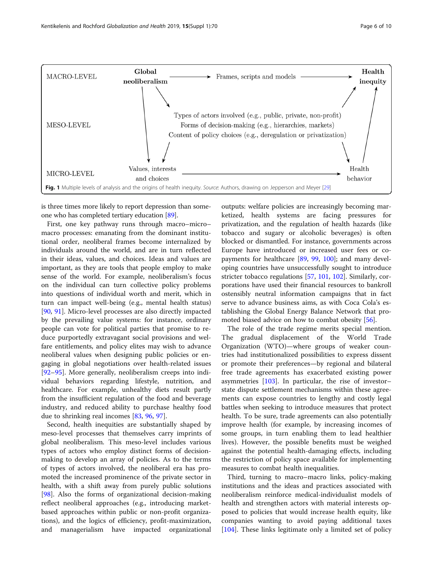<span id="page-5-0"></span>

is three times more likely to report depression than someone who has completed tertiary education [\[89\]](#page-8-0).

First, one key pathway runs through macro–micro– macro processes: emanating from the dominant institutional order, neoliberal frames become internalized by individuals around the world, and are in turn reflected in their ideas, values, and choices. Ideas and values are important, as they are tools that people employ to make sense of the world. For example, neoliberalism's focus on the individual can turn collective policy problems into questions of individual worth and merit, which in turn can impact well-being (e.g., mental health status) [[90,](#page-8-0) [91\]](#page-8-0). Micro-level processes are also directly impacted by the prevailing value systems: for instance, ordinary people can vote for political parties that promise to reduce purportedly extravagant social provisions and welfare entitlements, and policy elites may wish to advance neoliberal values when designing public policies or engaging in global negotiations over health-related issues [[92](#page-8-0)–[95](#page-9-0)]. More generally, neoliberalism creeps into individual behaviors regarding lifestyle, nutrition, and healthcare. For example, unhealthy diets result partly from the insufficient regulation of the food and beverage industry, and reduced ability to purchase healthy food due to shrinking real incomes [[83,](#page-8-0) [96,](#page-9-0) [97\]](#page-9-0).

Second, health inequities are substantially shaped by meso-level processes that themselves carry imprints of global neoliberalism. This meso-level includes various types of actors who employ distinct forms of decisionmaking to develop an array of policies. As to the terms of types of actors involved, the neoliberal era has promoted the increased prominence of the private sector in health, with a shift away from purely public solutions [[98\]](#page-9-0). Also the forms of organizational decision-making reflect neoliberal approaches (e.g., introducing marketbased approaches within public or non-profit organizations), and the logics of efficiency, profit-maximization, and managerialism have impacted organizational

outputs: welfare policies are increasingly becoming marketized, health systems are facing pressures for privatization, and the regulation of health hazards (like tobacco and sugary or alcoholic beverages) is often blocked or dismantled. For instance, governments across Europe have introduced or increased user fees or copayments for healthcare [[89](#page-8-0), [99](#page-9-0), [100](#page-9-0)]; and many developing countries have unsuccessfully sought to introduce stricter tobacco regulations [[57,](#page-8-0) [101](#page-9-0), [102](#page-9-0)]. Similarly, corporations have used their financial resources to bankroll ostensibly neutral information campaigns that in fact serve to advance business aims, as with Coca Cola's establishing the Global Energy Balance Network that promoted biased advice on how to combat obesity [\[56](#page-8-0)].

The role of the trade regime merits special mention. The gradual displacement of the World Trade Organization (WTO)—where groups of weaker countries had institutionalized possibilities to express dissent or promote their preferences—by regional and bilateral free trade agreements has exacerbated existing power asymmetries [[103\]](#page-9-0). In particular, the rise of investor– state dispute settlement mechanisms within these agreements can expose countries to lengthy and costly legal battles when seeking to introduce measures that protect health. To be sure, trade agreements can also potentially improve health (for example, by increasing incomes of some groups, in turn enabling them to lead healthier lives). However, the possible benefits must be weighed against the potential health-damaging effects, including the restriction of policy space available for implementing measures to combat health inequalities.

Third, turning to macro–macro links, policy-making institutions and the ideas and practices associated with neoliberalism reinforce medical-individualist models of health and strengthen actors with material interests opposed to policies that would increase health equity, like companies wanting to avoid paying additional taxes [[104\]](#page-9-0). These links legitimate only a limited set of policy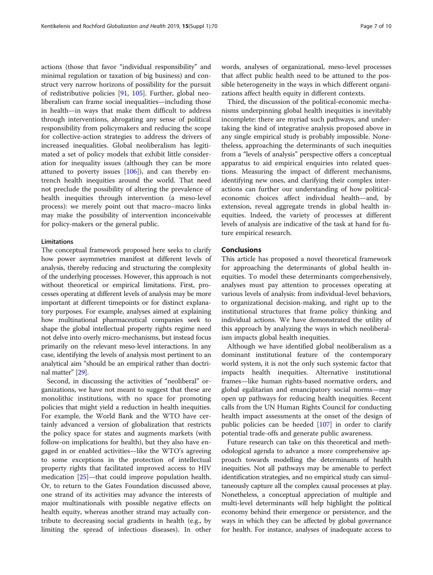actions (those that favor "individual responsibility" and minimal regulation or taxation of big business) and construct very narrow horizons of possibility for the pursuit of redistributive policies [\[91](#page-8-0), [105](#page-9-0)]. Further, global neoliberalism can frame social inequalities—including those in health—in ways that make them difficult to address through interventions, abrogating any sense of political responsibility from policymakers and reducing the scope for collective-action strategies to address the drivers of increased inequalities. Global neoliberalism has legitimated a set of policy models that exhibit little consideration for inequality issues (although they can be more attuned to poverty issues  $[106]$  $[106]$ , and can thereby entrench health inequities around the world. That need not preclude the possibility of altering the prevalence of health inequities through intervention (a meso-level process): we merely point out that macro–macro links may make the possibility of intervention inconceivable for policy-makers or the general public.

#### Limitations

The conceptual framework proposed here seeks to clarify how power asymmetries manifest at different levels of analysis, thereby reducing and structuring the complexity of the underlying processes. However, this approach is not without theoretical or empirical limitations. First, processes operating at different levels of analysis may be more important at different timepoints or for distinct explanatory purposes. For example, analyses aimed at explaining how multinational pharmaceutical companies seek to shape the global intellectual property rights regime need not delve into overly micro-mechanisms, but instead focus primarily on the relevant meso-level interactions. In any case, identifying the levels of analysis most pertinent to an analytical aim "should be an empirical rather than doctrinal matter" [\[29\]](#page-7-0).

Second, in discussing the activities of "neoliberal" organizations, we have not meant to suggest that these are monolithic institutions, with no space for promoting policies that might yield a reduction in health inequities. For example, the World Bank and the WTO have certainly advanced a version of globalization that restricts the policy space for states and augments markets (with follow-on implications for health), but they also have engaged in or enabled activities—like the WTO's agreeing to some exceptions in the protection of intellectual property rights that facilitated improved access to HIV medication [\[25\]](#page-7-0)—that could improve population health. Or, to return to the Gates Foundation discussed above, one strand of its activities may advance the interests of major multinationals with possible negative effects on health equity, whereas another strand may actually contribute to decreasing social gradients in health (e.g., by limiting the spread of infectious diseases). In other words, analyses of organizational, meso-level processes that affect public health need to be attuned to the possible heterogeneity in the ways in which different organizations affect health equity in different contexts.

Third, the discussion of the political-economic mechanisms underpinning global health inequities is inevitably incomplete: there are myriad such pathways, and undertaking the kind of integrative analysis proposed above in any single empirical study is probably impossible. Nonetheless, approaching the determinants of such inequities from a "levels of analysis" perspective offers a conceptual apparatus to aid empirical enquiries into related questions. Measuring the impact of different mechanisms, identifying new ones, and clarifying their complex interactions can further our understanding of how politicaleconomic choices affect individual health—and, by extension, reveal aggregate trends in global health inequities. Indeed, the variety of processes at different levels of analysis are indicative of the task at hand for future empirical research.

## **Conclusions**

This article has proposed a novel theoretical framework for approaching the determinants of global health inequities. To model these determinants comprehensively, analyses must pay attention to processes operating at various levels of analysis: from individual-level behaviors, to organizational decision-making, and right up to the institutional structures that frame policy thinking and individual actions. We have demonstrated the utility of this approach by analyzing the ways in which neoliberalism impacts global health inequities.

Although we have identified global neoliberalism as a dominant institutional feature of the contemporary world system, it is not the only such systemic factor that impacts health inequities. Alternative institutional frames—like human rights-based normative orders, and global egalitarian and emancipatory social norms—may open up pathways for reducing health inequities. Recent calls from the UN Human Rights Council for conducting health impact assessments at the onset of the design of public policies can be heeded  $[107]$  in order to clarify potential trade-offs and generate public awareness.

Future research can take on this theoretical and methodological agenda to advance a more comprehensive approach towards modelling the determinants of health inequities. Not all pathways may be amenable to perfect identification strategies, and no empirical study can simultaneously capture all the complex causal processes at play. Nonetheless, a conceptual appreciation of multiple and multi-level determinants will help highlight the political economy behind their emergence or persistence, and the ways in which they can be affected by global governance for health. For instance, analyses of inadequate access to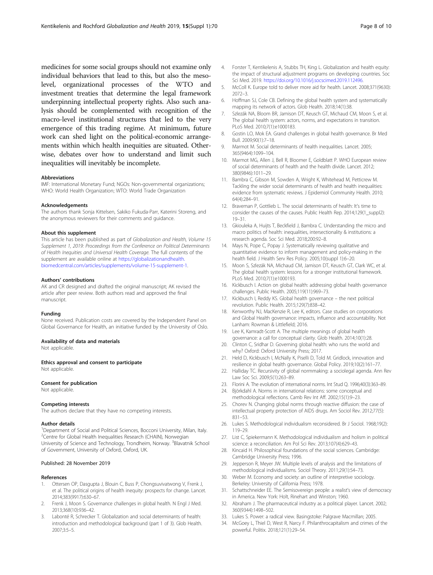<span id="page-7-0"></span>medicines for some social groups should not examine only individual behaviors that lead to this, but also the mesolevel, organizational processes of the WTO and investment treaties that determine the legal framework underpinning intellectual property rights. Also such analysis should be complemented with recognition of the macro-level institutional structures that led to the very emergence of this trading regime. At minimum, future work can shed light on the political-economic arrangements within which health inequities are situated. Otherwise, debates over how to understand and limit such inequalities will inevitably be incomplete.

#### Abbreviations

IMF: International Monetary Fund; NGOs: Non-governmental organizations; WHO: World Health Organization; WTO: World Trade Organization

#### Acknowledgements

The authors thank Sonja Kittelsen, Sakiko Fukuda-Parr, Katerini Storeng, and the anonymous reviewers for their comments and guidance.

#### About this supplement

This article has been published as part of Globalization and Health, Volume 15 Supplement 1, 2019: Proceedings from the Conference on Political Determinants of Health Inequities and Universal Health Coverage. The full contents of the supplement are available online at [https://globalizationandhealth.](https://globalizationandhealth.biomedcentral.com/articles/supplements/volume-15-supplement-1) [biomedcentral.com/articles/supplements/volume-15-supplement-1.](https://globalizationandhealth.biomedcentral.com/articles/supplements/volume-15-supplement-1)

#### Authors' contributions

AK and CR designed and drafted the original manuscript; AK revised the article after peer review. Both authors read and approved the final manuscript.

#### Funding

None received. Publication costs are covered by the Independent Panel on Global Governance for Health, an initiative funded by the University of Oslo.

#### Availability of data and materials

Not applicable.

Ethics approval and consent to participate Not applicable.

### Consent for publication

Not applicable.

#### Competing interests

The authors declare that they have no competing interests.

#### Author details

<sup>1</sup>Department of Social and Political Sciences, Bocconi University, Milan, Italy. <sup>2</sup>Centre for Global Health Inequalities Research (CHAIN), Norwegian University of Science and Technology, Trondheim, Norway. <sup>3</sup>Blavatnik School of Government, University of Oxford, Oxford, UK.

#### Published: 28 November 2019

#### References

- 1. Ottersen OP, Dasgupta J, Blouin C, Buss P, Chongsuvivatwong V, Frenk J, et al. The political origins of health inequity: prospects for change. Lancet. 2014;383(9917):630–67.
- 2. Frenk J, Moon S. Governance challenges in global health. N Engl J Med. 2013;368(10):936–42.
- 3. Labonté R, Schrecker T. Globalization and social determinants of health: introduction and methodological background (part 1 of 3). Glob Health. 2007;3:5–5.
- 4. Forster T, Kentikelenis A, Stubbs TH, King L. Globalization and health equity: the impact of structural adjustment programs on developing countries. Soc Sci Med. 2019. [https://doi.org/10.1016/j.socscimed.2019.112496.](https://doi.org/10.1016/j.socscimed.2019.112496)
- 5. McColl K. Europe told to deliver more aid for health. Lancet. 2008;371(9630): 2072–3.
- 6. Hoffman SJ, Cole CB. Defining the global health system and systematically mapping its network of actors. Glob Health. 2018;14(1):38.
- 7. Szlezák NA, Bloom BR, Jamison DT, Keusch GT, Michaud CM, Moon S, et al. The global health system: actors, norms, and expectations in transition. PLoS Med. 2010;7(1):e1000183.
- 8. Gostin LO, Mok EA. Grand challenges in global health governance. Br Med Bull. 2009;90(1):7–18.
- 9. Marmot M. Social determinants of health inequalities. Lancet. 2005; 365(9464):1099–104.
- 10. Marmot MG, Allen J, Bell R, Bloomer E, Goldblatt P. WHO European review of social determinants of health and the health divide. Lancet. 2012; 380(9846):1011–29.
- 11. Bambra C, Gibson M, Sowden A, Wright K, Whitehead M, Petticrew M. Tackling the wider social determinants of health and health inequalities: evidence from systematic reviews. J Epidemiol Community Health. 2010; 64(4):284–91.
- 12. Braveman P, Gottlieb L. The social determinants of health: It's time to consider the causes of the causes. Public Health Rep. 2014;129(1\_suppl2): 19–31.
- 13. Gkiouleka A, Huijts T, Beckfield J, Bambra C. Understanding the micro and macro politics of health: inequalities, intersectionality & institutions: a research agenda. Soc Sci Med. 2018;200:92–8.
- 14. Mays N, Pope C, Popay J. Systematically reviewing qualitative and quantitative evidence to inform management and policy-making in the health field. J Health Serv Res Policy. 2005;10(suppl 1):6–20.
- 15. Moon S, Szlezák NA, Michaud CM, Jamison DT, Keusch GT, Clark WC, et al. The global health system: lessons for a stronger institutional framework. PLoS Med. 2010;7(1):e1000193.
- 16. Kickbusch I. Action on global health: addressing global health governance challenges. Public Health. 2005;119(11):969–73.
- 17. Kickbusch I, Reddy KS. Global health governance the next political revolution. Public Health. 2015;129(7):838–42.
- 18. Kenworthy NJ, MacKenzie R, Lee K, editors. Case studies on corporations and Global Health governance: impacts, influence and accountability. Not Lanham: Rowman & Littlefield; 2016.
- 19. Lee K, Kamradt-Scott A. The multiple meanings of global health governance: a call for conceptual clarity. Glob Health. 2014;10(1):28.
- 20. Clinton C, Sridhar D. Governing global health: who runs the world and why? Oxford: Oxford University Press; 2017.
- 21. Held D, Kickbusch I, McNally K, Piselli D, Told M. Gridlock, innovation and resilience in global health governance. Global Policy. 2019;10(2):161–77.
- 22. Halliday TC. Recursivity of global normmaking: a sociolegal agenda. Ann Rev Law Soc Sci. 2009;5(1):263–89.
- 23. Florini A. The evolution of international norms. Int Stud Q. 1996;40(3):363–89.
- 24. Björkdahl A. Norms in international relations: some conceptual and methodological reflections. Camb Rev Int Aff. 2002;15(1):9–23.
- 25. Chorev N. Changing global norms through reactive diffusion: the case of intellectual property protection of AIDS drugs. Am Sociol Rev. 2012;77(5): 831–53.
- 26. Lukes S. Methodological individualism reconsidered. Br J Sociol. 1968;19(2): 119–29.
- 27. List C, Spiekermann K. Methodological individualism and holism in political science: a reconciliation. Am Pol Sci Rev. 2013;107(4):629–43.
- 28. Kincaid H. Philosophical foundations of the social sciences. Cambridge: Cambridge University Press; 1996.
- 29. Jepperson R, Meyer JW. Multiple levels of analysis and the limitations of methodological individualisms. Sociol Theory. 2011;29(1):54–73.
- 30. Weber M. Economy and society: an outline of interpretive sociology. Berkeley: University of California Press; 1978.
- 31. Schattschneider EE. The Semisovereign people: a realist's view of democracy in America. New York: Holt, Rinehart and Winston; 1960.
- 32. Abraham J. The pharmaceutical industry as a political player. Lancet. 2002; 360(9344):1498–502.
- 33. Lukes S. Power: a radical view. Basingstoke: Palgrave Macmillan; 2005.
- 34. McGoey L, Thiel D, West R, Narcy F. Philanthrocapitalism and crimes of the powerful. Politix. 2018;121(1):29–54.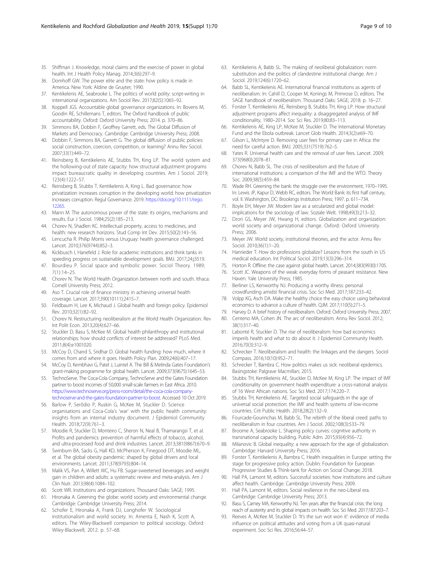- <span id="page-8-0"></span>35. Shiffman J. Knowledge, moral claims and the exercise of power in global health. Int J Health Policy Manag. 2014;3(6):297–9.
- 36. Domhoff GW. The power elite and the state: how policy is made in America. New York: Aldine de Gruyter; 1990.
- 37. Kentikelenis AE, Seabrooke L. The politics of world polity: script-writing in international organizations. Am Sociol Rev. 2017;82(5):1065–92.
- 38. Koppell JGS. Accountable global governance organizations. In: Bovens M, Goodin RE, Schillemans T, editors. The Oxford handbook of public accountability. Oxford: Oxford University Press; 2014. p. 370–86.
- 39. Simmons BA, Dobbin F, Geoffrey Garrett, eds. The Global Diffusion of Markets and Democracy. Cambridge: Cambridge University Press; 2008.
- 40. Dobbin F, Simmons BA, Garrett G. The global diffusion of public policies: social construction, coercion, competition, or learning? Annu Rev Sociol. 2007;33(1):449–72.
- 41. Reinsberg B, Kentikelenis AE, Stubbs TH, King LP. The world system and the hollowing-out of state capacity: how structural adjustment programs impact bureaucratic quality in developing countries. Am J Sociol. 2019; 123(4):1222–57.
- 42. Reinsberg B, Stubbs T, Kentikelenis A, King L. Bad governance: how privatization increases corruption in the developing world: how privatization increases corruption. Regul Governance. 2019. [https://doi.org/10.1111/rego.](https://doi.org/10.1111/rego.12265) [12265](https://doi.org/10.1111/rego.12265).
- 43. Mann M. The autonomous power of the state: its origins, mechanisms and results. Eur J Sociol. 1984;25(2):185–213.
- Chorev N, Shadlen KC. Intellectual property, access to medicines, and health: new research horizons. Stud Comp Int Dev. 2015;50(2):143–56.
- 45. Lencucha R. Philip Morris versus Uruguay: health governance challenged. Lancet. 2010;376(9744):852–3.
- 46. Kickbusch I, Hanefeld J. Role for academic institutions and think tanks in speeding progress on sustainable development goals. BMJ. 2017;24:j3519.
- 47. Bourdieu P. Social space and symbolic power. Sociol Theory. 1989; 7(1):14–25.
- 48. Chorev N. The World Health Organization between north and south. Ithaca: Cornell University Press; 2012.
- 49. Aso T. Crucial role of finance ministry in achieving universal health coverage. Lancet. 2017;390(10111):2415–7.
- 50. Feldbaum H, Lee K, Michaud J. Global health and foreign policy. Epidemiol Rev. 2010;32(1):82–92.
- 51. Chorev N. Restructuring neoliberalism at the World Health Organization. Rev Int Polit Econ. 2013;20(4):627–66.
- 52. Stuckler D, Basu S, McKee M. Global health philanthropy and institutional relationships: how should conflicts of interest be addressed? PLoS Med. 2011;8(4):e1001020.
- 53. McCoy D, Chand S, Sridhar D. Global health funding: how much, where it comes from and where it goes. Health Policy Plan. 2009;24(6):407–17.
- 54. McCoy D, Kembhavi G, Patel J, Luintel A. The Bill & Melinda Gates Foundation's grant-making programme for global health. Lancet. 2009;373(9675):1645–53.
- 55. TechnoServe. The Coca-Cola Company, TechnoServe and the Gates Foundation partner to boost incomes of 50,000 small-scale farmers in East Africa. 2010. [https://www.technoserve.org/press-room/detail/the-coca-cola-company](https://www.technoserve.org/press-room/detail/the-coca-cola-company-technoserve-and-the-gates-foundation-partner-to-boost)[technoserve-and-the-gates-foundation-partner-to-boost](https://www.technoserve.org/press-room/detail/the-coca-cola-company-technoserve-and-the-gates-foundation-partner-to-boost). Accessed 10 Oct 2019.
- 56. Barlow P, Serôdio P, Ruskin G, McKee M, Stuckler D. Science organisations and Coca-Cola's 'war' with the public health community: insights from an internal industry document. J Epidemiol Community Health. 2018;72(9):761–3.
- 57. Moodie R, Stuckler D, Monteiro C, Sheron N, Neal B, Thamarangsi T, et al. Profits and pandemics: prevention of harmful effects of tobacco, alcohol, and ultra-processed food and drink industries. Lancet. 2013;381(9867):670–9.
- 58. Swinburn BA, Sacks G, Hall KD, McPherson K, Finegood DT, Moodie ML, et al. The global obesity pandemic: shaped by global drivers and local environments. Lancet. 2011;378(9793):804–14.
- 59. Malik VS, Pan A, Willett WC, Hu FB. Sugar-sweetened beverages and weight gain in children and adults: a systematic review and meta-analysis. Am J Clin Nutr. 2013;98(4):1084–102.
- 60. Scott WR. Institutions and organizations. Thousand Oaks: SAGE; 1995.
- 61. Hironaka A. Greening the globe: world society and environmental change. Cambridge: Cambridge University Press; 2014.
- 62. Schofer E, Hironaka A, Frank DJ, Longhofer W. Sociological institutionalism and world society. In: Amenta E, Nash K, Scott A, editors. The Wiley-Blackwell companion to political sociology. Oxford: Wiley-Blackwell; 2012. p. 57–68.
- 63. Kentikelenis A, Babb SL. The making of neoliberal globalization: norm substitution and the politics of clandestine institutional change. Am J Sociol. 2019;124(6):1720–62.
- 64. Babb SL, Kentikelenis AE. International financial institutions as agents of neoliberalism. In: Cahill D, Cooper M, Konings M, Primrose D, editors. The SAGE handbook of neoliberalism. Thousand Oaks: SAGE; 2018. p. 16–27.
- 65. Forster T, Kentikelenis AE, Reinsberg B, Stubbs TH, King LP. How structural adjustment programs affect inequality: a disaggregated analysis of IMF conditionality, 1980–2014. Soc Sci Res. 2019;80:83–113.
- 66. Kentikelenis AE, King LP, McKee M, Stuckler D. The International Monetary Fund and the Ebola outbreak. Lancet Glob Health. 2014;3(2):e69–70.
- 67. Gilson L, McIntyre D. Removing user fees for primary care in Africa: the need for careful action. BMJ. 2005;331(7519):762–5.
- 68. Yates R. Universal health care and the removal of user fees. Lancet. 2009; 373(9680):2078–81.
- 69. Chorev N, Babb SL. The crisis of neoliberalism and the future of international institutions: a comparison of the IMF and the WTO. Theory Soc. 2009;38(5):459–84.
- 70. Wade RH. Greening the bank: the struggle over the environment, 1970–1995. In: Lewis JP, Kapur D, Webb RC, editors. The World Bank: its first half century, vol. II. Washington, DC: Brookings Institution Press; 1997. p. 611–734.
- 71. Boyle EH, Meyer JW. Modern law as a secularized and global model: implications for the sociology of law. Soziale Welt. 1998;49(3):213–32.
- 72. Drori GS, Meyer JW, Hwang H, editors. Globalization and organization: world society and organizational change. Oxford: Oxford University Press; 2006.
- 73. Meyer JW. World society, institutional theories, and the actor. Annu Rev Sociol. 2010;36(1):1–20.
- 74. Hanrieder T. How do professions globalize? Lessons from the south in US medical education. Int Political Sociol. 2019;13(3):296–314.
- 75. Horton R. Offline: the case against global health. Lancet. 2014;383(9930):1705.
- 76. Scott JC. Weapons of the weak: everyday forms of peasant resistance. New Haven: Yale University Press; 1985.
- 77. Berliner LS, Kenworthy NJ. Producing a worthy illness: personal crowdfunding amidst financial crisis. Soc Sci Med. 2017;187:233–42.
- 78. Volpp KG, Asch DA. Make the healthy choice the easy choice: using behavioral economics to advance a culture of health. QJM. 2017;110(5):271–5.
- 79. Harvey D. A brief history of neoliberalism. Oxford: Oxford University Press; 2007.
- 80. Centeno MA, Cohen JN. The arc of neoliberalism. Annu Rev Sociol. 2012; 38(1):317–40.
- 81. Labonté R, Stuckler D. The rise of neoliberalism: how bad economics imperils health and what to do about it. J Epidemiol Community Health. 2016;70(3):312–9.
- 82. Schrecker T. Neoliberalism and health: the linkages and the dangers. Sociol Compass. 2016;10(10):952–71.
- 83. Schrecker T, Bambra C. How politics makes us sick: neoliberal epidemics. Basingstoke: Palgrave Macmillan; 2015.
- 84. Stubbs TH, Kentikelenis AE, Stuckler D, McKee M, King LP. The impact of IMF conditionality on government health expenditure: a cross-national analysis of 16 West African nations. Soc Sci Med. 2017;174:220–7.
- 85. Stubbs TH, Kentikelenis AE. Targeted social safeguards in the age of universal social protection: the IMF and health systems of low-income countries. Crit Public Health. 2018;28(2):132–9.
- Fourcade-Gourinchas M, Babb SL. The rebirth of the liberal creed: paths to neoliberalism in four countries. Am J Sociol. 2002;108(3):533–79.
- 87. Broome A, Seabrooke L. Shaping policy curves: cognitive authority in transnational capacity building. Public Adm. 2015;93(4):956–72.
- 88. Milanovic B. Global inequality: a new approach for the age of globalization. Cambridge: Harvard University Press; 2016.
- 89. Forster T, Kentikelenis A, Bambra C. Health inequalities in Europe: setting the stage for progressive policy action. Dublin: Foundation for European Progressive Studies & Think-tank for Action on Social Change; 2018.
- 90. Hall PA, Lamont M, editors. Successful societies: how institutions and culture affect health. Cambridge: Cambridge University Press; 2009.
- 91. Hall PA, Lamont M, editors. Social resilience in the neo-Liberal era. Cambridge: Cambridge University Press; 2013.
- 92. Basu S, Carney MA, Kenworthy NJ. Ten years after the financial crisis: the long reach of austerity and its global impacts on health. Soc Sci Med. 2017;187:203–7.
- 93. Reeves A, McKee M, Stuckler D. 'It's the sun wot won it': evidence of media influence on political attitudes and voting from a UK quasi-natural experiment. Soc Sci Res. 2016;56:44–57.